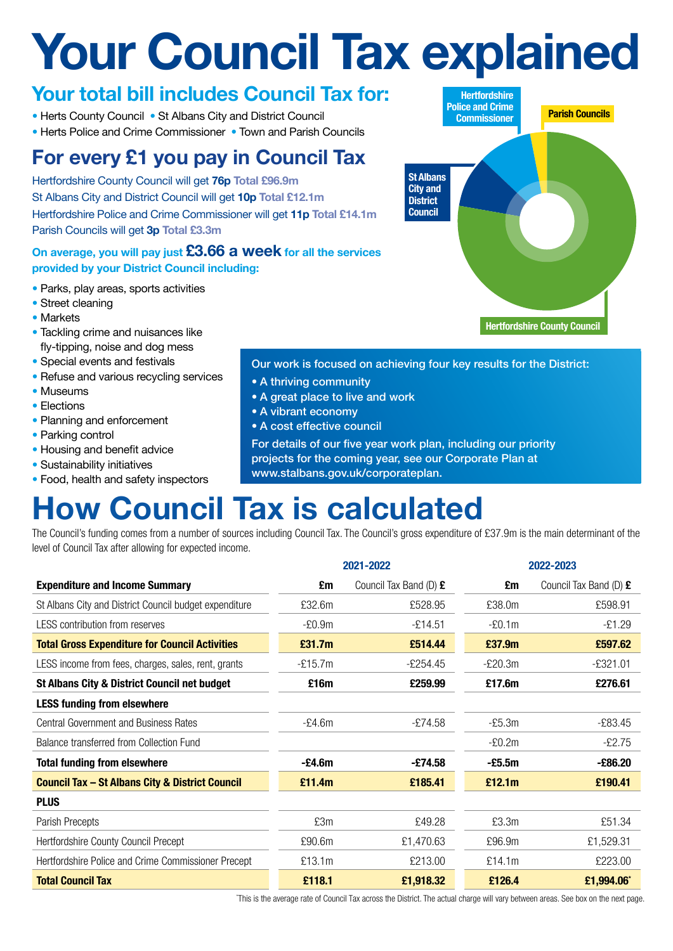# **Your Council Tax explained**

### **Your total bill includes Council Tax for:**

- Herts County Council St Albans City and District Council
- Herts Police and Crime Commissioner Town and Parish Councils

## **For every £1 you pay in Council Tax**

Hertfordshire County Council will get **76p Total £96.9m** St Albans City and District Council will get **10p Total £12.1m** Hertfordshire Police and Crime Commissioner will get **11p Total £14.1m** Parish Councils will get **3p Total £3.3m**

### **On average, you will pay just £3.66 a week for all the services provided by your District Council including:**

- Parks, play areas, sports activities
- Street cleaning
- Markets
- Tackling crime and nuisances like fly-tipping, noise and dog mess
- Special events and festivals
- Refuse and various recycling services
- Museums
- Elections
- Planning and enforcement
- Parking control
- Housing and benefit advice
- Sustainability initiatives
- Food, health and safety inspectors

#### Our work is focused on achieving four key results for the District:

- A thriving community
- A great place to live and work
- A vibrant economy
- A cost effective council

For details of our five year work plan, including our priority projects for the coming year, see our Corporate Plan at

www.stalbans.gov.uk/corporateplan.

# **How Council Tax is calculated**

The Council's funding comes from a number of sources including Council Tax. The Council's gross expenditure of £37.9m is the main determinant of the level of Council Tax after allowing for expected income.

|                                                            | 2021-2022 |                        | 2022-2023 |                        |
|------------------------------------------------------------|-----------|------------------------|-----------|------------------------|
| <b>Expenditure and Income Summary</b>                      | £m        | Council Tax Band (D) £ | £m        | Council Tax Band (D) £ |
| St Albans City and District Council budget expenditure     | £32.6m    | £528.95                | £38.0m    | £598.91                |
| LESS contribution from reserves                            | $-E0.9m$  | $-£14.51$              | $-E0.1m$  | $-£1.29$               |
| <b>Total Gross Expenditure for Council Activities</b>      | £31.7m    | £514.44                | £37.9m    | £597.62                |
| LESS income from fees, charges, sales, rent, grants        | $-£15.7m$ | $-£254.45$             | $-E20.3m$ | $-£321.01$             |
| <b>St Albans City &amp; District Council net budget</b>    | £16m      | £259.99                | £17.6m    | £276.61                |
| <b>LESS funding from elsewhere</b>                         |           |                        |           |                        |
| <b>Central Government and Business Rates</b>               | $-E4.6m$  | $-£74.58$              | $-E5.3m$  | $-£83.45$              |
| Balance transferred from Collection Fund                   |           |                        | $-E0.2m$  | $-£2.75$               |
| <b>Total funding from elsewhere</b>                        | $-E4.6m$  | $-£74.58$              | $-£5.5m$  | $-£86.20$              |
| <b>Council Tax - St Albans City &amp; District Council</b> | £11.4m    | £185.41                | £12.1m    | £190.41                |
| <b>PLUS</b>                                                |           |                        |           |                        |
| Parish Precepts                                            | £3m       | £49.28                 | £3.3m     | £51.34                 |
| Hertfordshire County Council Precept                       | £90.6m    | £1,470.63              | £96.9m    | £1,529.31              |
| Hertfordshire Police and Crime Commissioner Precept        | £13.1m    | £213.00                | £14.1m    | £223.00                |
| <b>Total Council Tax</b>                                   | £118.1    | £1,918.32              | £126.4    | £1,994.06*             |

\* This is the average rate of Council Tax across the District. The actual charge will vary between areas. See box on the next page.